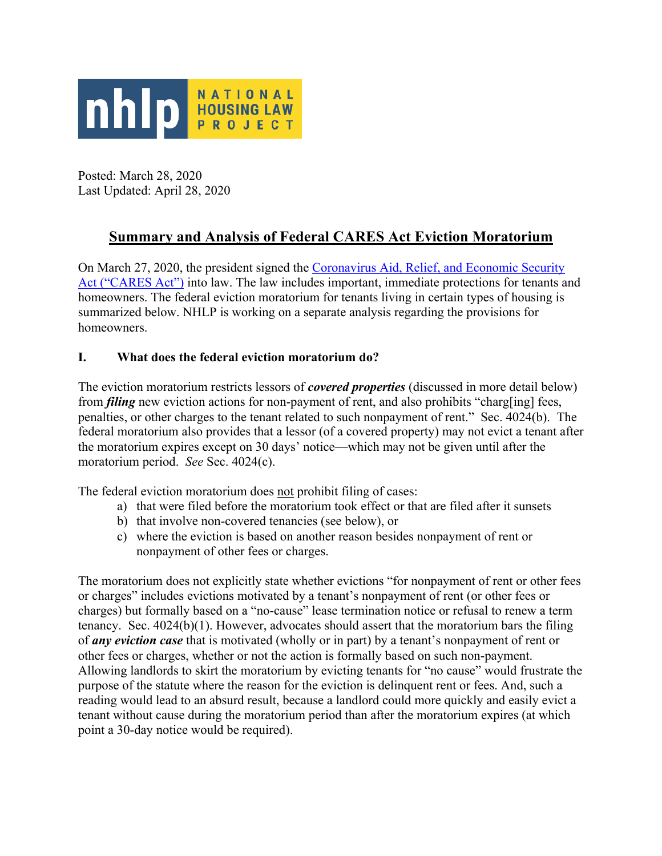

Posted: March 28, 2020 Last Updated: April 28, 2020

# **Summary and Analysis of Federal CARES Act Eviction Moratorium**

On March 27, 2020, the president signed the Coronavirus Aid, Relief, and Economic Security Act ("CARES Act") into law. The law includes important, immediate protections for tenants and homeowners. The federal eviction moratorium for tenants living in certain types of housing is summarized below. NHLP is working on a separate analysis regarding the provisions for homeowners.

### **I. What does the federal eviction moratorium do?**

The eviction moratorium restricts lessors of *covered properties* (discussed in more detail below) from *filing* new eviction actions for non-payment of rent, and also prohibits "charg[ing] fees, penalties, or other charges to the tenant related to such nonpayment of rent." Sec. 4024(b). The federal moratorium also provides that a lessor (of a covered property) may not evict a tenant after the moratorium expires except on 30 days' notice—which may not be given until after the moratorium period. *See* Sec. 4024(c).

The federal eviction moratorium does not prohibit filing of cases:

- a) that were filed before the moratorium took effect or that are filed after it sunsets
- b) that involve non-covered tenancies (see below), or
- c) where the eviction is based on another reason besides nonpayment of rent or nonpayment of other fees or charges.

The moratorium does not explicitly state whether evictions "for nonpayment of rent or other fees or charges" includes evictions motivated by a tenant's nonpayment of rent (or other fees or charges) but formally based on a "no-cause" lease termination notice or refusal to renew a term tenancy. Sec. 4024(b)(1). However, advocates should assert that the moratorium bars the filing of *any eviction case* that is motivated (wholly or in part) by a tenant's nonpayment of rent or other fees or charges, whether or not the action is formally based on such non-payment. Allowing landlords to skirt the moratorium by evicting tenants for "no cause" would frustrate the purpose of the statute where the reason for the eviction is delinquent rent or fees. And, such a reading would lead to an absurd result, because a landlord could more quickly and easily evict a tenant without cause during the moratorium period than after the moratorium expires (at which point a 30-day notice would be required).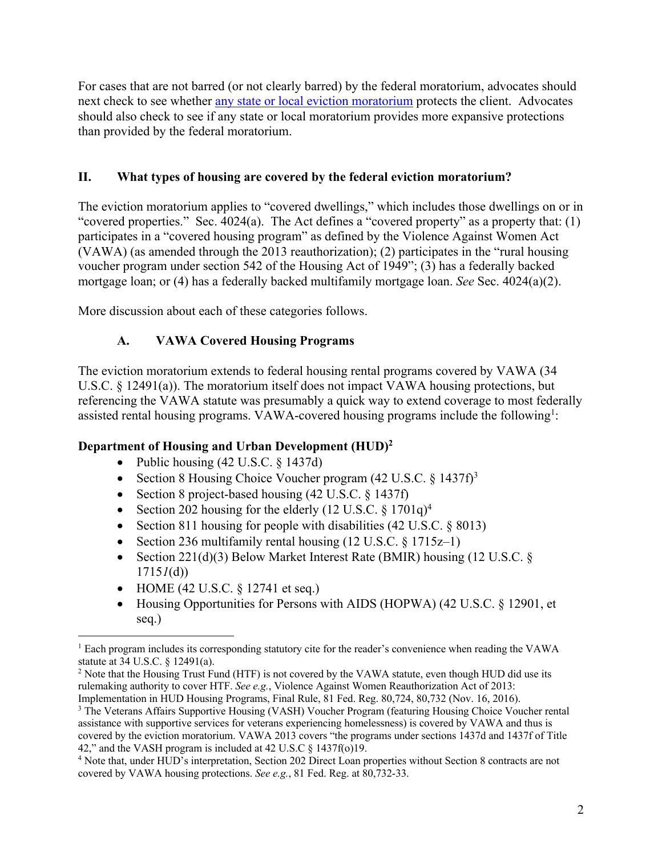For cases that are not barred (or not clearly barred) by the federal moratorium, advocates should next check to see whether any state or local eviction moratorium protects the client. Advocates should also check to see if any state or local moratorium provides more expansive protections than provided by the federal moratorium.

#### **II. What types of housing are covered by the federal eviction moratorium?**

The eviction moratorium applies to "covered dwellings," which includes those dwellings on or in "covered properties." Sec. 4024(a). The Act defines a "covered property" as a property that: (1) participates in a "covered housing program" as defined by the Violence Against Women Act (VAWA) (as amended through the 2013 reauthorization); (2) participates in the "rural housing voucher program under section 542 of the Housing Act of 1949"; (3) has a federally backed mortgage loan; or (4) has a federally backed multifamily mortgage loan. *See* Sec. 4024(a)(2).

More discussion about each of these categories follows.

### **A. VAWA Covered Housing Programs**

The eviction moratorium extends to federal housing rental programs covered by VAWA (34 U.S.C. § 12491(a)). The moratorium itself does not impact VAWA housing protections, but referencing the VAWA statute was presumably a quick way to extend coverage to most federally assisted rental housing programs. VAWA-covered housing programs include the following<sup>1</sup>:

#### **Department of Housing and Urban Development (HUD)2**

- Public housing (42 U.S.C. § 1437d)
- Section 8 Housing Choice Voucher program  $(42 \text{ U.S.C.} \S 1437f)^3$
- Section 8 project-based housing (42 U.S.C. § 1437f)
- Section 202 housing for the elderly  $(12 \text{ U.S.C.} \S 1701q)^4$
- Section 811 housing for people with disabilities (42 U.S.C. § 8013)
- Section 236 multifamily rental housing  $(12 \text{ U.S.C.} \& 1715z-1)$
- Section 221(d)(3) Below Market Interest Rate (BMIR) housing (12 U.S.C. § 1715*1*(d))
- HOME (42 U.S.C.  $\S$  12741 et seq.)
- Housing Opportunities for Persons with AIDS (HOPWA) (42 U.S.C. § 12901, et seq.)

<sup>1</sup> Each program includes its corresponding statutory cite for the reader's convenience when reading the VAWA statute at 34 U.S.C. § 12491(a).

<sup>&</sup>lt;sup>2</sup> Note that the Housing Trust Fund (HTF) is not covered by the VAWA statute, even though HUD did use its rulemaking authority to cover HTF. *See e.g.*, Violence Against Women Reauthorization Act of 2013: Implementation in HUD Housing Programs, Final Rule, 81 Fed. Reg. 80,724, 80,732 (Nov. 16, 2016).

<sup>&</sup>lt;sup>3</sup> The Veterans Affairs Supportive Housing (VASH) Voucher Program (featuring Housing Choice Voucher rental assistance with supportive services for veterans experiencing homelessness) is covered by VAWA and thus is covered by the eviction moratorium. VAWA 2013 covers "the programs under sections 1437d and 1437f of Title 42," and the VASH program is included at 42 U.S.C § 1437f(o)19.

<sup>4</sup> Note that, under HUD's interpretation, Section 202 Direct Loan properties without Section 8 contracts are not covered by VAWA housing protections. *See e.g.*, 81 Fed. Reg. at 80,732-33.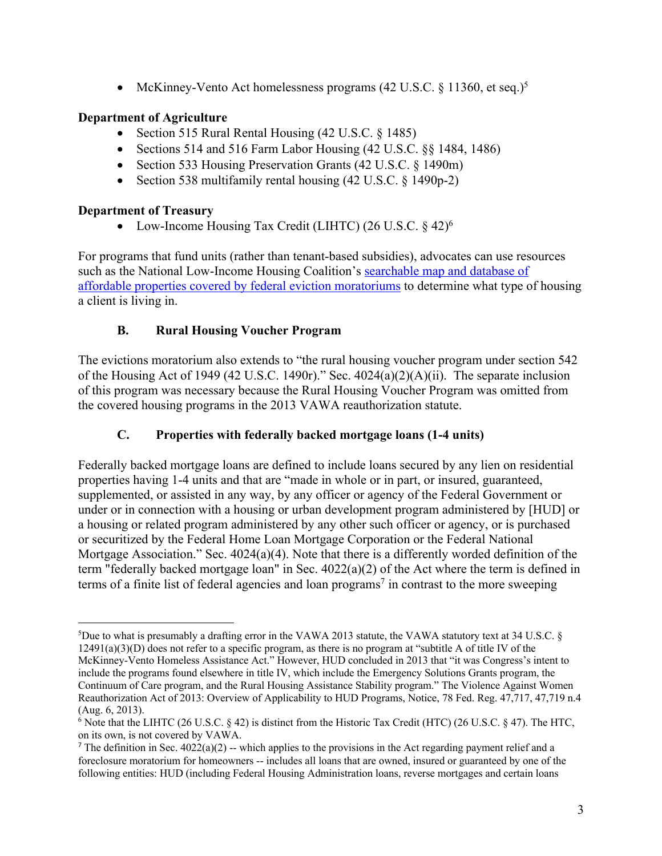• McKinney-Vento Act homelessness programs (42 U.S.C. § 11360, et seq.)<sup>5</sup>

### **Department of Agriculture**

- Section 515 Rural Rental Housing (42 U.S.C. § 1485)
- Sections 514 and 516 Farm Labor Housing (42 U.S.C. §§ 1484, 1486)
- Section 533 Housing Preservation Grants (42 U.S.C. § 1490m)
- Section 538 multifamily rental housing (42 U.S.C. § 1490p-2)

### **Department of Treasury**

• Low-Income Housing Tax Credit (LIHTC)  $(26 \text{ U.S.C.} \S 42)^6$ 

For programs that fund units (rather than tenant-based subsidies), advocates can use resources such as the National Low-Income Housing Coalition's searchable map and database of affordable properties covered by federal eviction moratoriums to determine what type of housing a client is living in.

## **B. Rural Housing Voucher Program**

The evictions moratorium also extends to "the rural housing voucher program under section 542 of the Housing Act of 1949 (42 U.S.C. 1490r)." Sec. 4024(a)(2)(A)(ii). The separate inclusion of this program was necessary because the Rural Housing Voucher Program was omitted from the covered housing programs in the 2013 VAWA reauthorization statute.

## **C. Properties with federally backed mortgage loans (1-4 units)**

Federally backed mortgage loans are defined to include loans secured by any lien on residential properties having 1-4 units and that are "made in whole or in part, or insured, guaranteed, supplemented, or assisted in any way, by any officer or agency of the Federal Government or under or in connection with a housing or urban development program administered by [HUD] or a housing or related program administered by any other such officer or agency, or is purchased or securitized by the Federal Home Loan Mortgage Corporation or the Federal National Mortgage Association." Sec. 4024(a)(4). Note that there is a differently worded definition of the term "federally backed mortgage loan" in Sec. 4022(a)(2) of the Act where the term is defined in terms of a finite list of federal agencies and loan programs<sup>7</sup> in contrast to the more sweeping

<sup>5</sup> Due to what is presumably a drafting error in the VAWA 2013 statute, the VAWA statutory text at 34 U.S.C. § 12491(a)(3)(D) does not refer to a specific program, as there is no program at "subtitle A of title IV of the McKinney-Vento Homeless Assistance Act." However, HUD concluded in 2013 that "it was Congress's intent to include the programs found elsewhere in title IV, which include the Emergency Solutions Grants program, the Continuum of Care program, and the Rural Housing Assistance Stability program." The Violence Against Women Reauthorization Act of 2013: Overview of Applicability to HUD Programs, Notice, 78 Fed. Reg. 47,717, 47,719 n.4 (Aug. 6, 2013).

 $6$  Note that the LIHTC (26 U.S.C.  $\S$  42) is distinct from the Historic Tax Credit (HTC) (26 U.S.C.  $\S$  47). The HTC, on its own, is not covered by VAWA.

<sup>&</sup>lt;sup>7</sup> The definition in Sec.  $4022(a)(2)$  -- which applies to the provisions in the Act regarding payment relief and a foreclosure moratorium for homeowners -- includes all loans that are owned, insured or guaranteed by one of the following entities: HUD (including Federal Housing Administration loans, reverse mortgages and certain loans